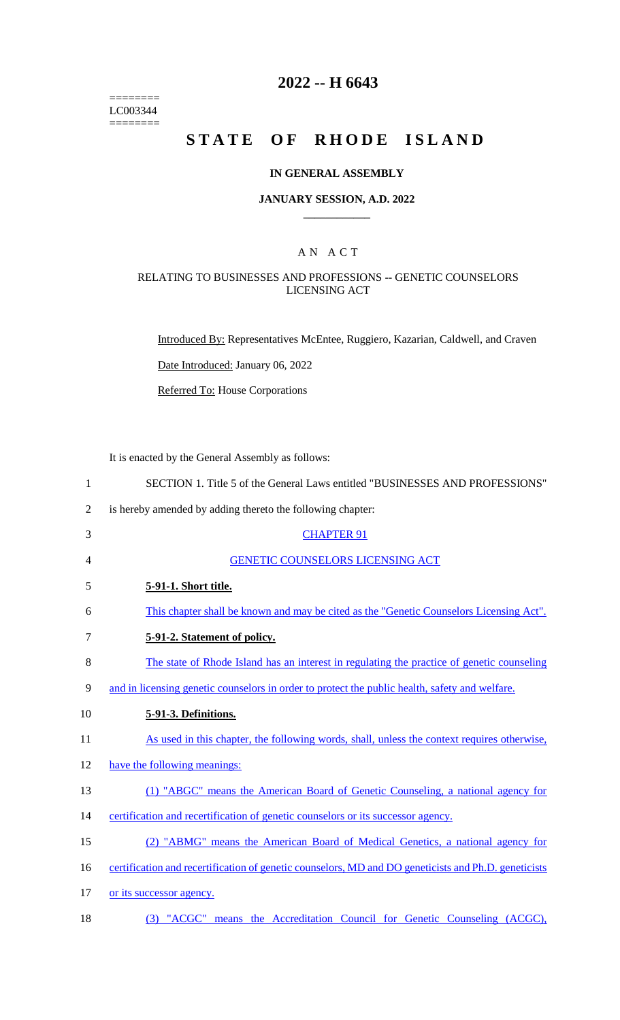======== LC003344  $=$ 

# **2022 -- H 6643**

# **STATE OF RHODE ISLAND**

## **IN GENERAL ASSEMBLY**

#### **JANUARY SESSION, A.D. 2022 \_\_\_\_\_\_\_\_\_\_\_\_**

## A N A C T

## RELATING TO BUSINESSES AND PROFESSIONS -- GENETIC COUNSELORS LICENSING ACT

Introduced By: Representatives McEntee, Ruggiero, Kazarian, Caldwell, and Craven

Date Introduced: January 06, 2022

Referred To: House Corporations

It is enacted by the General Assembly as follows:

| $\mathbf{1}$   | SECTION 1. Title 5 of the General Laws entitled "BUSINESSES AND PROFESSIONS"                         |
|----------------|------------------------------------------------------------------------------------------------------|
| $\overline{2}$ | is hereby amended by adding thereto the following chapter:                                           |
| 3              | <b>CHAPTER 91</b>                                                                                    |
| 4              | <b>GENETIC COUNSELORS LICENSING ACT</b>                                                              |
| 5              | 5-91-1. Short title.                                                                                 |
| 6              | This chapter shall be known and may be cited as the "Genetic Counselors Licensing Act".              |
| 7              | 5-91-2. Statement of policy.                                                                         |
| 8              | The state of Rhode Island has an interest in regulating the practice of genetic counseling           |
| 9              | and in licensing genetic counselors in order to protect the public health, safety and welfare.       |
| 10             | 5-91-3. Definitions.                                                                                 |
| 11             | As used in this chapter, the following words, shall, unless the context requires otherwise,          |
| 12             | have the following meanings:                                                                         |
| 13             | (1) "ABGC" means the American Board of Genetic Counseling, a national agency for                     |
| 14             | certification and recertification of genetic counselors or its successor agency.                     |
| 15             | (2) "ABMG" means the American Board of Medical Genetics, a national agency for                       |
| 16             | certification and recertification of genetic counselors, MD and DO geneticists and Ph.D. geneticists |
| 17             | or its successor agency.                                                                             |
| 18             | (3) "ACGC" means the Accreditation Council for Genetic Counseling (ACGC),                            |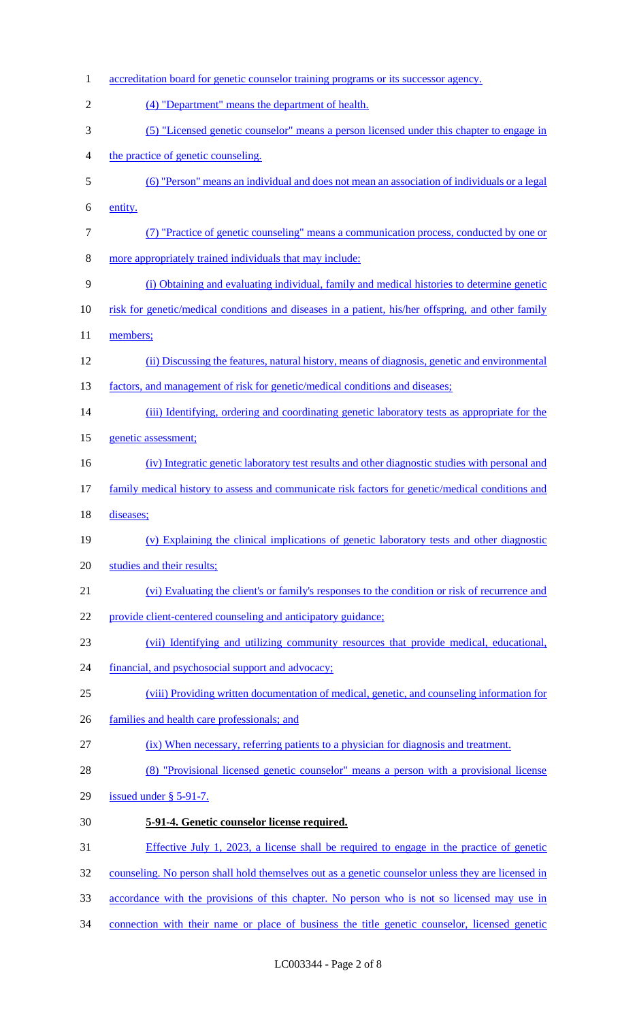| $\mathbf{1}$   | accreditation board for genetic counselor training programs or its successor agency.               |
|----------------|----------------------------------------------------------------------------------------------------|
| $\overline{2}$ | (4) "Department" means the department of health.                                                   |
| 3              | (5) "Licensed genetic counselor" means a person licensed under this chapter to engage in           |
| 4              | the practice of genetic counseling.                                                                |
| 5              | (6) "Person" means an individual and does not mean an association of individuals or a legal        |
| 6              | entity.                                                                                            |
| $\tau$         | (7) "Practice of genetic counseling" means a communication process, conducted by one or            |
| 8              | more appropriately trained individuals that may include:                                           |
| 9              | (i) Obtaining and evaluating individual, family and medical histories to determine genetic         |
| 10             | risk for genetic/medical conditions and diseases in a patient, his/her offspring, and other family |
| 11             | members;                                                                                           |
| 12             | (ii) Discussing the features, natural history, means of diagnosis, genetic and environmental       |
| 13             | factors, and management of risk for genetic/medical conditions and diseases;                       |
| 14             | (iii) Identifying, ordering and coordinating genetic laboratory tests as appropriate for the       |
| 15             | genetic assessment;                                                                                |
| 16             | (iv) Integratic genetic laboratory test results and other diagnostic studies with personal and     |
| 17             | family medical history to assess and communicate risk factors for genetic/medical conditions and   |
| 18             | diseases;                                                                                          |
| 19             | (v) Explaining the clinical implications of genetic laboratory tests and other diagnostic          |
| 20             | studies and their results;                                                                         |
| 21             | (vi) Evaluating the client's or family's responses to the condition or risk of recurrence and      |
| 22             | provide client-centered counseling and anticipatory guidance;                                      |
| 23             | (vii) Identifying and utilizing community resources that provide medical, educational,             |
| 24             | financial, and psychosocial support and advocacy;                                                  |
| 25             | (viii) Providing written documentation of medical, genetic, and counseling information for         |
| 26             | families and health care professionals; and                                                        |
| 27             | (ix) When necessary, referring patients to a physician for diagnosis and treatment.                |
| 28             | (8) "Provisional licensed genetic counselor" means a person with a provisional license             |
| 29             | issued under $\S$ 5-91-7.                                                                          |
| 30             | 5-91-4. Genetic counselor license required.                                                        |
| 31             | Effective July 1, 2023, a license shall be required to engage in the practice of genetic           |
| 32             | counseling. No person shall hold themselves out as a genetic counselor unless they are licensed in |
| 33             | accordance with the provisions of this chapter. No person who is not so licensed may use in        |
| 34             | connection with their name or place of business the title genetic counselor, licensed genetic      |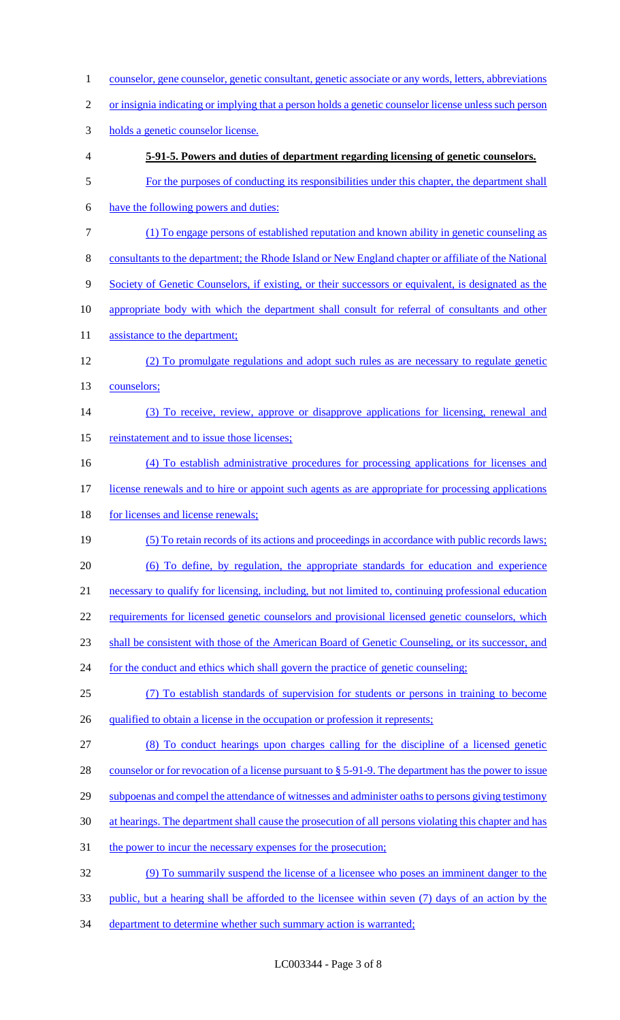1 counselor, gene counselor, genetic consultant, genetic associate or any words, letters, abbreviations or insignia indicating or implying that a person holds a genetic counselor license unless such person holds a genetic counselor license. **5-91-5. Powers and duties of department regarding licensing of genetic counselors.** For the purposes of conducting its responsibilities under this chapter, the department shall have the following powers and duties: (1) To engage persons of established reputation and known ability in genetic counseling as consultants to the department; the Rhode Island or New England chapter or affiliate of the National 9 Society of Genetic Counselors, if existing, or their successors or equivalent, is designated as the appropriate body with which the department shall consult for referral of consultants and other 11 assistance to the department; (2) To promulgate regulations and adopt such rules as are necessary to regulate genetic counselors; (3) To receive, review, approve or disapprove applications for licensing, renewal and 15 reinstatement and to issue those licenses; (4) To establish administrative procedures for processing applications for licenses and license renewals and to hire or appoint such agents as are appropriate for processing applications 18 for licenses and license renewals; (5) To retain records of its actions and proceedings in accordance with public records laws; (6) To define, by regulation, the appropriate standards for education and experience necessary to qualify for licensing, including, but not limited to, continuing professional education 22 requirements for licensed genetic counselors and provisional licensed genetic counselors, which shall be consistent with those of the American Board of Genetic Counseling, or its successor, and 24 for the conduct and ethics which shall govern the practice of genetic counseling; (7) To establish standards of supervision for students or persons in training to become 26 qualified to obtain a license in the occupation or profession it represents; (8) To conduct hearings upon charges calling for the discipline of a licensed genetic 28 counselor or for revocation of a license pursuant to § 5-91-9. The department has the power to issue 29 subpoenas and compel the attendance of witnesses and administer oaths to persons giving testimony at hearings. The department shall cause the prosecution of all persons violating this chapter and has 31 the power to incur the necessary expenses for the prosecution; (9) To summarily suspend the license of a licensee who poses an imminent danger to the public, but a hearing shall be afforded to the licensee within seven (7) days of an action by the 34 department to determine whether such summary action is warranted;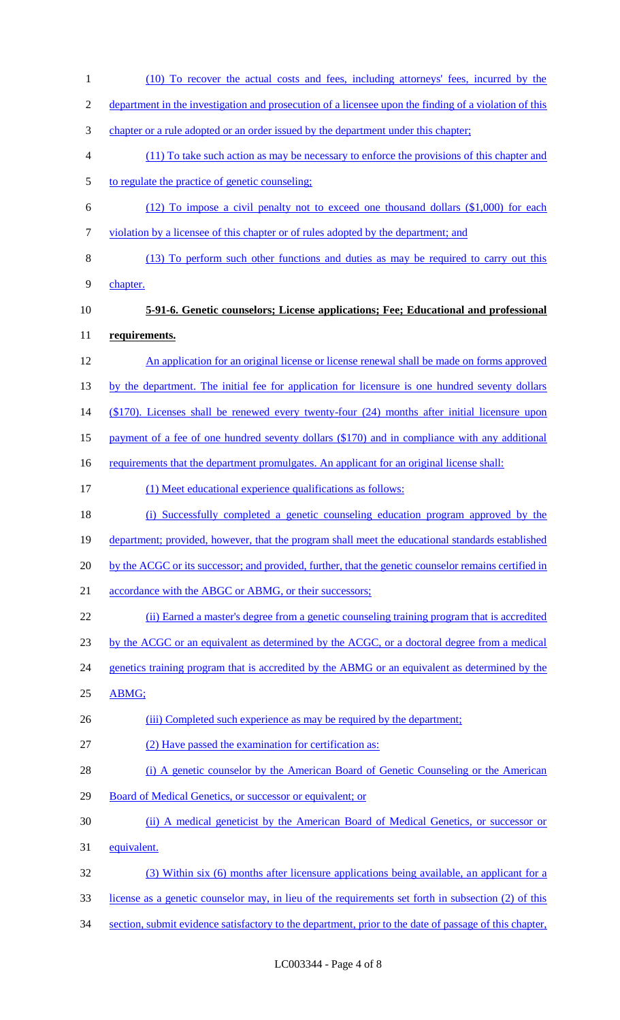(10) To recover the actual costs and fees, including attorneys' fees, incurred by the department in the investigation and prosecution of a licensee upon the finding of a violation of this chapter or a rule adopted or an order issued by the department under this chapter; (11) To take such action as may be necessary to enforce the provisions of this chapter and to regulate the practice of genetic counseling; (12) To impose a civil penalty not to exceed one thousand dollars (\$1,000) for each violation by a licensee of this chapter or of rules adopted by the department; and (13) To perform such other functions and duties as may be required to carry out this chapter. **5-91-6. Genetic counselors; License applications; Fee; Educational and professional requirements.** An application for an original license or license renewal shall be made on forms approved 13 by the department. The initial fee for application for licensure is one hundred seventy dollars (\$170). Licenses shall be renewed every twenty-four (24) months after initial licensure upon payment of a fee of one hundred seventy dollars (\$170) and in compliance with any additional 16 requirements that the department promulgates. An applicant for an original license shall: (1) Meet educational experience qualifications as follows: (i) Successfully completed a genetic counseling education program approved by the 19 department; provided, however, that the program shall meet the educational standards established by the ACGC or its successor; and provided, further, that the genetic counselor remains certified in 21 accordance with the ABGC or ABMG, or their successors; (ii) Earned a master's degree from a genetic counseling training program that is accredited by the ACGC or an equivalent as determined by the ACGC, or a doctoral degree from a medical 24 genetics training program that is accredited by the ABMG or an equivalent as determined by the ABMG; 26 (iii) Completed such experience as may be required by the department; (2) Have passed the examination for certification as: 28 (i) A genetic counselor by the American Board of Genetic Counseling or the American 29 Board of Medical Genetics, or successor or equivalent; or (ii) A medical geneticist by the American Board of Medical Genetics, or successor or equivalent. (3) Within six (6) months after licensure applications being available, an applicant for a license as a genetic counselor may, in lieu of the requirements set forth in subsection (2) of this 34 section, submit evidence satisfactory to the department, prior to the date of passage of this chapter,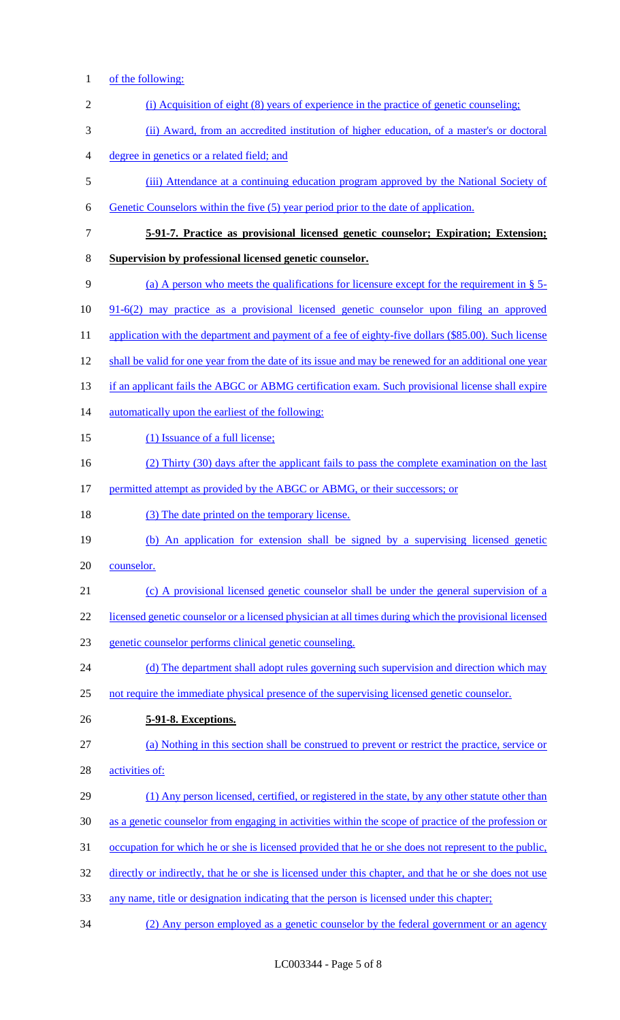1 of the following:

| $\overline{2}$ | (i) Acquisition of eight (8) years of experience in the practice of genetic counseling;                |
|----------------|--------------------------------------------------------------------------------------------------------|
| 3              | (ii) Award, from an accredited institution of higher education, of a master's or doctoral              |
| $\overline{4}$ | degree in genetics or a related field; and                                                             |
| 5              | (iii) Attendance at a continuing education program approved by the National Society of                 |
| 6              | Genetic Counselors within the five (5) year period prior to the date of application.                   |
| $\tau$         | 5-91-7. Practice as provisional licensed genetic counselor; Expiration; Extension;                     |
| 8              | Supervision by professional licensed genetic counselor.                                                |
| 9              | (a) A person who meets the qualifications for licensure except for the requirement in $\S$ 5-          |
| 10             | 91-6(2) may practice as a provisional licensed genetic counselor upon filing an approved               |
| 11             | application with the department and payment of a fee of eighty-five dollars (\$85.00). Such license    |
| 12             | shall be valid for one year from the date of its issue and may be renewed for an additional one year   |
| 13             | if an applicant fails the ABGC or ABMG certification exam. Such provisional license shall expire       |
| 14             | automatically upon the earliest of the following:                                                      |
| 15             | (1) Issuance of a full license;                                                                        |
| 16             | (2) Thirty (30) days after the applicant fails to pass the complete examination on the last            |
| 17             | permitted attempt as provided by the ABGC or ABMG, or their successors; or                             |
| 18             | (3) The date printed on the temporary license.                                                         |
| 19             | (b) An application for extension shall be signed by a supervising licensed genetic                     |
| 20             | counselor.                                                                                             |
| 21             | (c) A provisional licensed genetic counselor shall be under the general supervision of a               |
| 22             | licensed genetic counselor or a licensed physician at all times during which the provisional licensed  |
| 23             | genetic counselor performs clinical genetic counseling.                                                |
| 24             | (d) The department shall adopt rules governing such supervision and direction which may                |
| 25             | not require the immediate physical presence of the supervising licensed genetic counselor.             |
| 26             | 5-91-8. Exceptions.                                                                                    |
| 27             | (a) Nothing in this section shall be construed to prevent or restrict the practice, service or         |
| 28             | activities of:                                                                                         |
| 29             | (1) Any person licensed, certified, or registered in the state, by any other statute other than        |
| 30             | as a genetic counselor from engaging in activities within the scope of practice of the profession or   |
| 31             | occupation for which he or she is licensed provided that he or she does not represent to the public,   |
| 32             | directly or indirectly, that he or she is licensed under this chapter, and that he or she does not use |
| 33             | any name, title or designation indicating that the person is licensed under this chapter;              |
| 34             | (2) Any person employed as a genetic counselor by the federal government or an agency                  |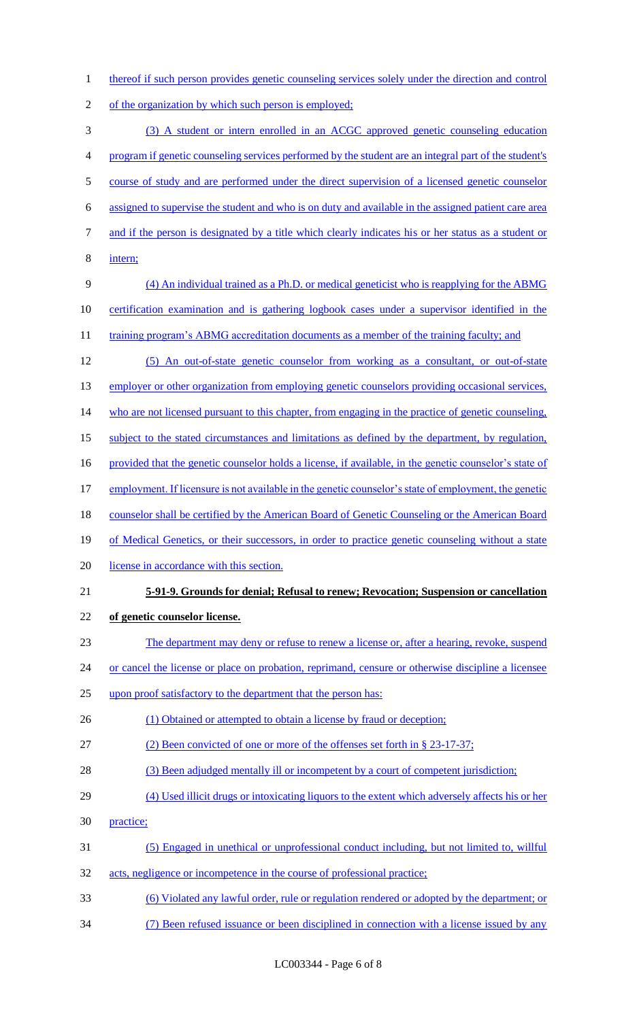1 thereof if such person provides genetic counseling services solely under the direction and control

- 2 of the organization by which such person is employed;
- 3 (3) A student or intern enrolled in an ACGC approved genetic counseling education 4 program if genetic counseling services performed by the student are an integral part of the student's 5 course of study and are performed under the direct supervision of a licensed genetic counselor 6 assigned to supervise the student and who is on duty and available in the assigned patient care area 7 and if the person is designated by a title which clearly indicates his or her status as a student or 8 intern; 9 (4) An individual trained as a Ph.D. or medical geneticist who is reapplying for the ABMG 10 certification examination and is gathering logbook cases under a supervisor identified in the 11 training program's ABMG accreditation documents as a member of the training faculty; and 12 (5) An out-of-state genetic counselor from working as a consultant, or out-of-state 13 employer or other organization from employing genetic counselors providing occasional services, 14 who are not licensed pursuant to this chapter, from engaging in the practice of genetic counseling, 15 subject to the stated circumstances and limitations as defined by the department, by regulation, 16 provided that the genetic counselor holds a license, if available, in the genetic counselor's state of 17 employment. If licensure is not available in the genetic counselor's state of employment, the genetic 18 counselor shall be certified by the American Board of Genetic Counseling or the American Board 19 of Medical Genetics, or their successors, in order to practice genetic counseling without a state 20 license in accordance with this section. 21 **5-91-9. Grounds for denial; Refusal to renew; Revocation; Suspension or cancellation**  22 **of genetic counselor license.** 23 The department may deny or refuse to renew a license or, after a hearing, revoke, suspend 24 or cancel the license or place on probation, reprimand, censure or otherwise discipline a licensee 25 upon proof satisfactory to the department that the person has: 26 (1) Obtained or attempted to obtain a license by fraud or deception; 27 (2) Been convicted of one or more of the offenses set forth in § 23-17-37; 28 (3) Been adjudged mentally ill or incompetent by a court of competent jurisdiction; 29 (4) Used illicit drugs or intoxicating liquors to the extent which adversely affects his or her 30 practice; 31 (5) Engaged in unethical or unprofessional conduct including, but not limited to, willful 32 acts, negligence or incompetence in the course of professional practice; 33 (6) Violated any lawful order, rule or regulation rendered or adopted by the department; or 34 (7) Been refused issuance or been disciplined in connection with a license issued by any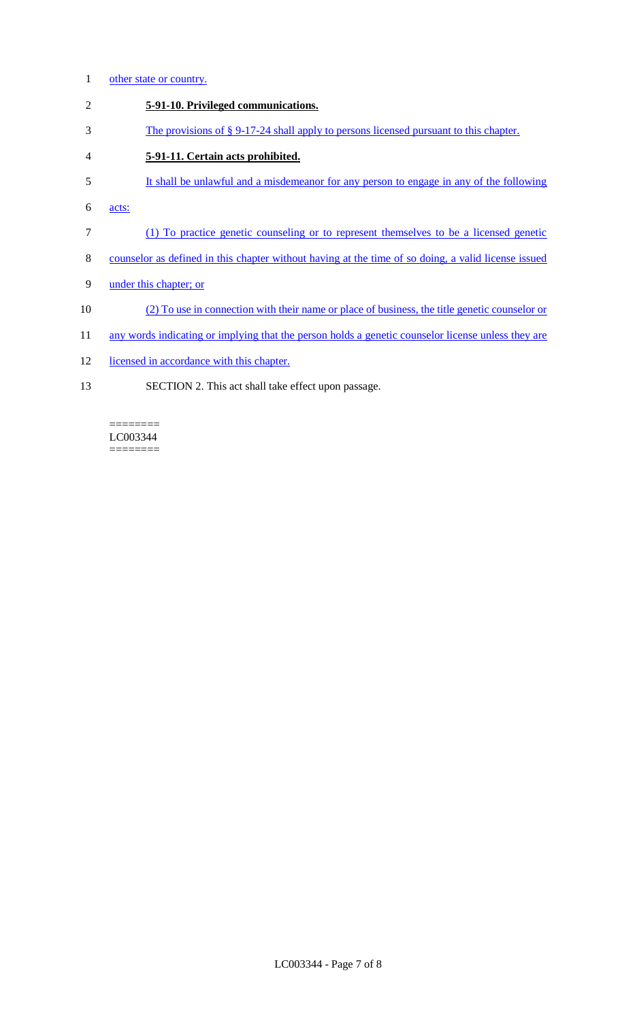- 1 other state or country.
- 2 **5-91-10. Privileged communications.**
- 3 The provisions of § 9-17-24 shall apply to persons licensed pursuant to this chapter.
- 4 **5-91-11. Certain acts prohibited.**
- 5 It shall be unlawful and a misdemeanor for any person to engage in any of the following
- 6 acts:
- 7 (1) To practice genetic counseling or to represent themselves to be a licensed genetic
- 8 counselor as defined in this chapter without having at the time of so doing, a valid license issued
- 9 under this chapter; or
- 10 (2) To use in connection with their name or place of business, the title genetic counselor or
- 11 any words indicating or implying that the person holds a genetic counselor license unless they are
- 12 licensed in accordance with this chapter.
- 13 SECTION 2. This act shall take effect upon passage.

LC003344  $=$ 

========